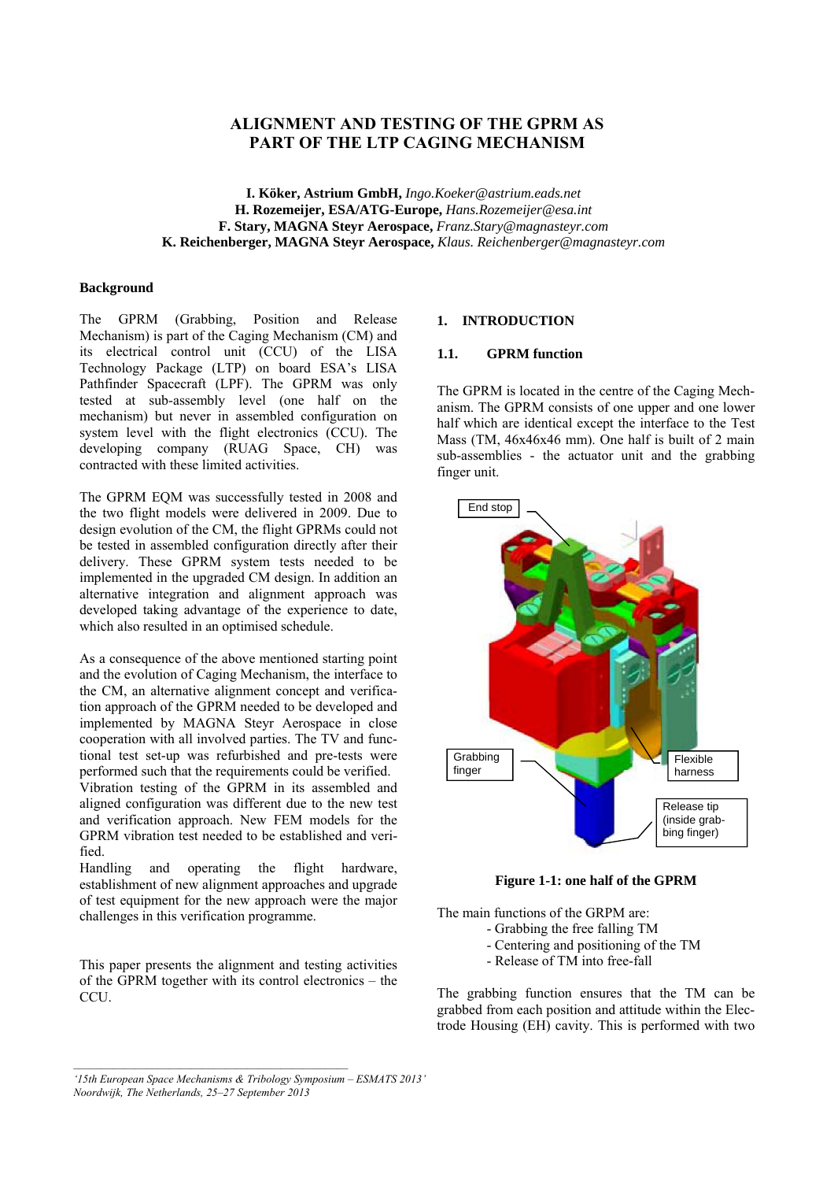# **ALIGNMENT AND TESTING OF THE GPRM AS PART OF THE LTP CAGING MECHANISM**

**I. Köker, Astrium GmbH,** *Ingo.Koeker@astrium.eads.net* **H. Rozemeijer, ESA/ATG-Europe,** *Hans.Rozemeijer@esa.int*  **F. Stary, MAGNA Steyr Aerospace,** *Franz.Stary@magnasteyr.com* **K. Reichenberger, MAGNA Steyr Aerospace,** *Klaus. Reichenberger@magnasteyr.com*

### **Background**

The GPRM (Grabbing, Position and Release Mechanism) is part of the Caging Mechanism (CM) and its electrical control unit (CCU) of the LISA Technology Package (LTP) on board ESA's LISA Pathfinder Spacecraft (LPF). The GPRM was only tested at sub-assembly level (one half on the mechanism) but never in assembled configuration on system level with the flight electronics (CCU). The developing company (RUAG Space, CH) was contracted with these limited activities.

The GPRM EQM was successfully tested in 2008 and the two flight models were delivered in 2009. Due to design evolution of the CM, the flight GPRMs could not be tested in assembled configuration directly after their delivery. These GPRM system tests needed to be implemented in the upgraded CM design. In addition an alternative integration and alignment approach was developed taking advantage of the experience to date, which also resulted in an optimised schedule.

As a consequence of the above mentioned starting point and the evolution of Caging Mechanism, the interface to the CM, an alternative alignment concept and verification approach of the GPRM needed to be developed and implemented by MAGNA Steyr Aerospace in close cooperation with all involved parties. The TV and functional test set-up was refurbished and pre-tests were performed such that the requirements could be verified. Vibration testing of the GPRM in its assembled and

aligned configuration was different due to the new test and verification approach. New FEM models for the GPRM vibration test needed to be established and verified.

Handling and operating the flight hardware, establishment of new alignment approaches and upgrade of test equipment for the new approach were the major challenges in this verification programme.

This paper presents the alignment and testing activities of the GPRM together with its control electronics – the CCU.

## **1. INTRODUCTION**

#### **1.1. GPRM function**

The GPRM is located in the centre of the Caging Mechanism. The GPRM consists of one upper and one lower half which are identical except the interface to the Test Mass (TM, 46x46x46 mm). One half is built of 2 main sub-assemblies - the actuator unit and the grabbing finger unit.



**Figure 1-1: one half of the GPRM** 

The main functions of the GRPM are:

- Grabbing the free falling TM
	- Centering and positioning of the TM
- Release of TM into free-fall

The grabbing function ensures that the TM can be grabbed from each position and attitude within the Electrode Housing (EH) cavity. This is performed with two

*<sup>&#</sup>x27;15th European Space Mechanisms & Tribology Symposium – ESMATS 2013' Noordwijk, The Netherlands, 25–27 September 2013*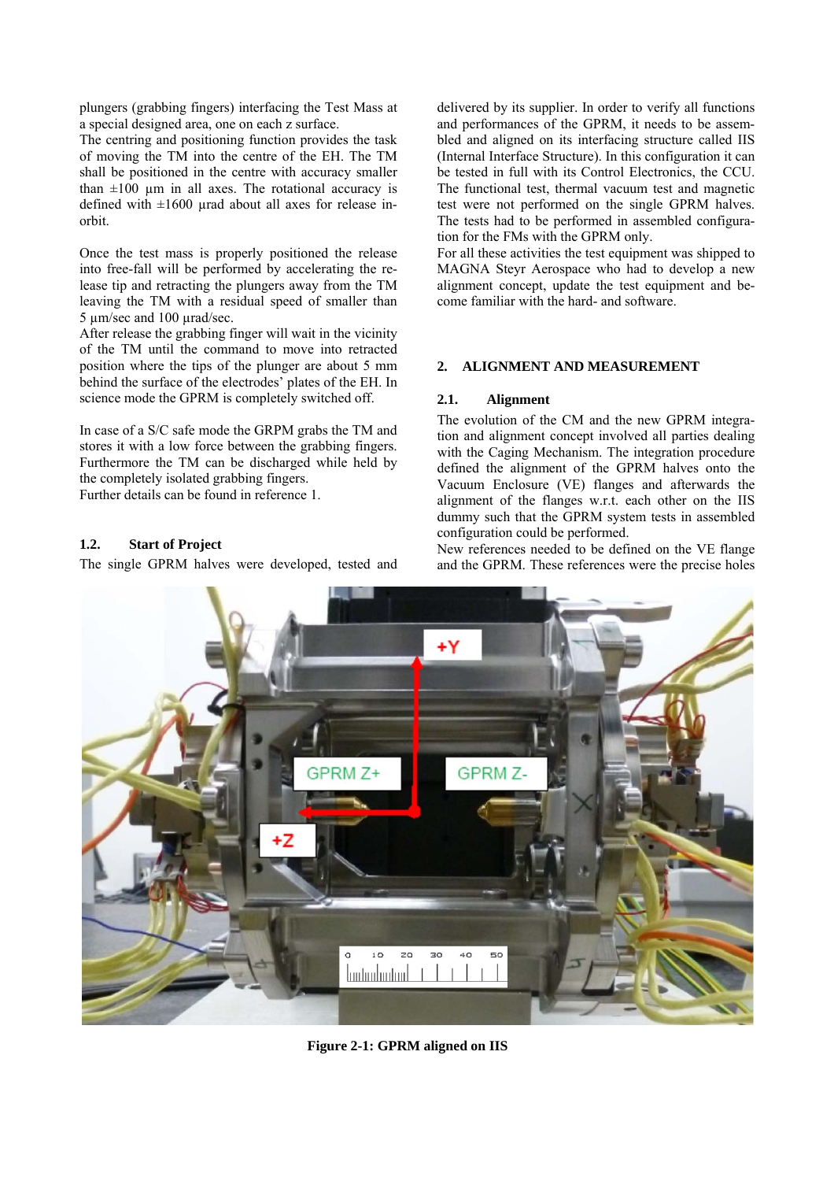plungers (grabbing fingers) interfacing the Test Mass at a special designed area, one on each z surface.

The centring and positioning function provides the task of moving the TM into the centre of the EH. The TM shall be positioned in the centre with accuracy smaller than  $\pm 100$  µm in all axes. The rotational accuracy is defined with  $\pm 1600$  urad about all axes for release inorbit.

Once the test mass is properly positioned the release into free-fall will be performed by accelerating the release tip and retracting the plungers away from the TM leaving the TM with a residual speed of smaller than 5 µm/sec and 100 µrad/sec.

After release the grabbing finger will wait in the vicinity of the TM until the command to move into retracted position where the tips of the plunger are about 5 mm behind the surface of the electrodes' plates of the EH. In science mode the GPRM is completely switched off.

In case of a S/C safe mode the GRPM grabs the TM and stores it with a low force between the grabbing fingers. Furthermore the TM can be discharged while held by the completely isolated grabbing fingers.

Further details can be found in reference 1.

# **1.2. Start of Project**

The single GPRM halves were developed, tested and

delivered by its supplier. In order to verify all functions and performances of the GPRM, it needs to be assembled and aligned on its interfacing structure called IIS (Internal Interface Structure). In this configuration it can be tested in full with its Control Electronics, the CCU. The functional test, thermal vacuum test and magnetic test were not performed on the single GPRM halves. The tests had to be performed in assembled configuration for the FMs with the GPRM only.

For all these activities the test equipment was shipped to MAGNA Steyr Aerospace who had to develop a new alignment concept, update the test equipment and become familiar with the hard- and software.

# **2. ALIGNMENT AND MEASUREMENT**

# **2.1. Alignment**

The evolution of the CM and the new GPRM integration and alignment concept involved all parties dealing with the Caging Mechanism. The integration procedure defined the alignment of the GPRM halves onto the Vacuum Enclosure (VE) flanges and afterwards the alignment of the flanges w.r.t. each other on the IIS dummy such that the GPRM system tests in assembled configuration could be performed.

New references needed to be defined on the VE flange and the GPRM. These references were the precise holes



**Figure 2-1: GPRM aligned on IIS**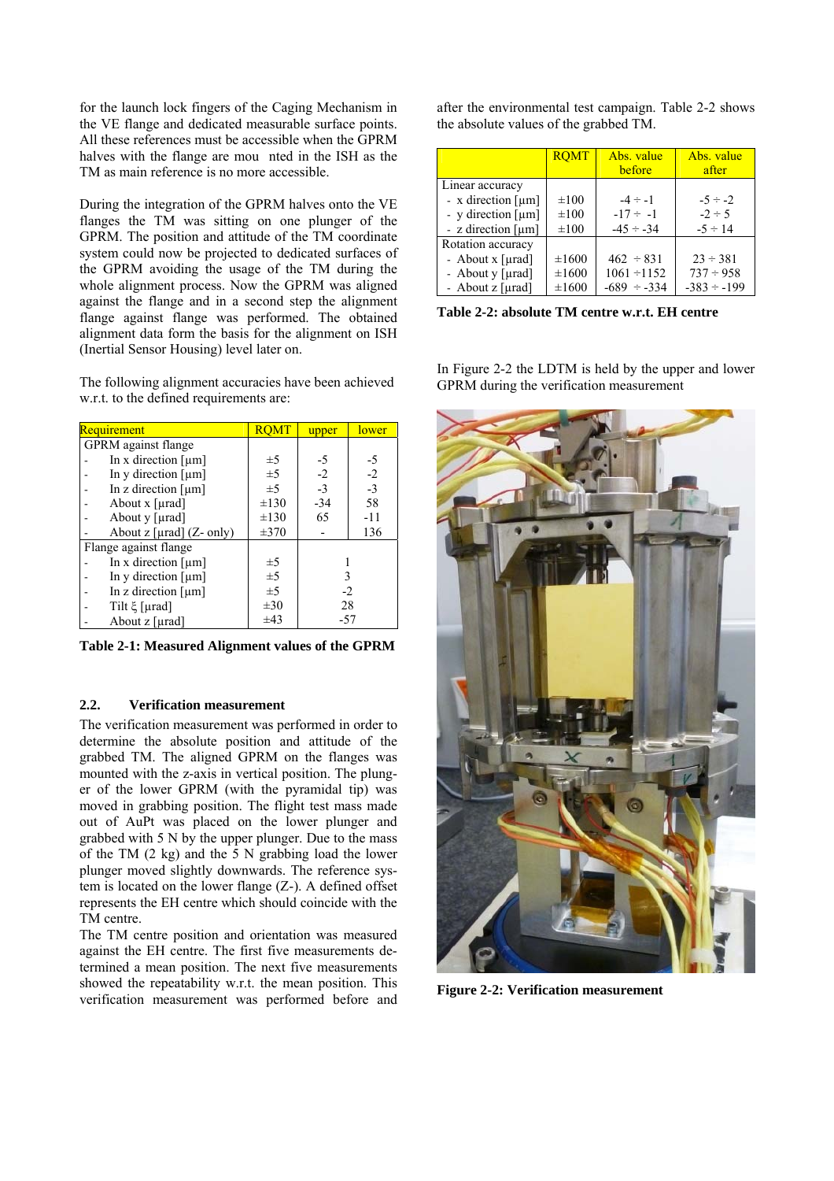for the launch lock fingers of the Caging Mechanism in the VE flange and dedicated measurable surface points. All these references must be accessible when the GPRM halves with the flange are mou nted in the ISH as the TM as main reference is no more accessible.

During the integration of the GPRM halves onto the VE flanges the TM was sitting on one plunger of the GPRM. The position and attitude of the TM coordinate system could now be projected to dedicated surfaces of the GPRM avoiding the usage of the TM during the whole alignment process. Now the GPRM was aligned against the flange and in a second step the alignment flange against flange was performed. The obtained alignment data form the basis for the alignment on ISH (Inertial Sensor Housing) level later on.

The following alignment accuracies have been achieved w.r.t. to the defined requirements are:

| Requirement                          |           | upper | lower |
|--------------------------------------|-----------|-------|-------|
| <b>GPRM</b> against flange           |           |       |       |
| In x direction $[\mu m]$             | $\pm 5$   | -5    | -5    |
| In y direction $\lceil \mu m \rceil$ | $\pm$ 5   | $-2$  | $-2$  |
| In z direction $\lceil \mu m \rceil$ | $\pm$ 5   | $-3$  | $-3$  |
| About $x$ [ $\mu$ rad]               | $\pm 130$ | $-34$ | 58    |
| About y [µrad]                       | $\pm 130$ | 65    | -11   |
| About $z$ [ $\mu$ rad] ( $Z$ - only) | $\pm 370$ |       | 136   |
| Flange against flange                |           |       |       |
| In x direction $[µm]$                | $\pm 5$   |       |       |
| In y direction $\lceil \mu m \rceil$ | $\pm$ 5   | 3     |       |
| In z direction $[\mu m]$             | $\pm 5$   | $-2$  |       |
| Tilt $\xi$ [µrad]                    | $\pm 30$  | 28    |       |
| About $z$ [µrad]                     | $\pm 43$  | $-57$ |       |

**Table 2-1: Measured Alignment values of the GPRM** 

# **2.2. Verification measurement**

The verification measurement was performed in order to determine the absolute position and attitude of the grabbed TM. The aligned GPRM on the flanges was mounted with the z-axis in vertical position. The plunger of the lower GPRM (with the pyramidal tip) was moved in grabbing position. The flight test mass made out of AuPt was placed on the lower plunger and grabbed with 5 N by the upper plunger. Due to the mass of the TM (2 kg) and the 5 N grabbing load the lower plunger moved slightly downwards. The reference system is located on the lower flange (Z-). A defined offset represents the EH centre which should coincide with the TM centre.

The TM centre position and orientation was measured against the EH centre. The first five measurements determined a mean position. The next five measurements showed the repeatability w.r.t. the mean position. This verification measurement was performed before and after the environmental test campaign. Table 2-2 shows the absolute values of the grabbed TM.

|                                                                                                        | <b>ROMT</b>                            | Abs. value<br>before                                | Abs. value<br>after                                 |
|--------------------------------------------------------------------------------------------------------|----------------------------------------|-----------------------------------------------------|-----------------------------------------------------|
| Linear accuracy<br>- x direction $[µm]$<br>- y direction $[µm]$<br>- z direction $\lceil \mu m \rceil$ | $\pm 100$<br>$\pm 100$<br>$\pm 100$    | $-4 \div -1$<br>$-17 \div -1$<br>$-45 \div -34$     | $-5 \div -2$<br>$-2 \div 5$<br>$-5 \div 14$         |
| Rotation accuracy<br>- About x [µrad]<br>- About y [µrad]<br>- About $z$ [ $\mu$ rad]                  | $\pm 1600$<br>$\pm 1600$<br>$\pm 1600$ | $462 \div 831$<br>$1061 - 1152$<br>$-689 \div -334$ | $23 \div 381$<br>$737 \div 958$<br>$-383 \div -199$ |

**Table 2-2: absolute TM centre w.r.t. EH centre** 

In Figure 2-2 the LDTM is held by the upper and lower GPRM during the verification measurement



**Figure 2-2: Verification measurement**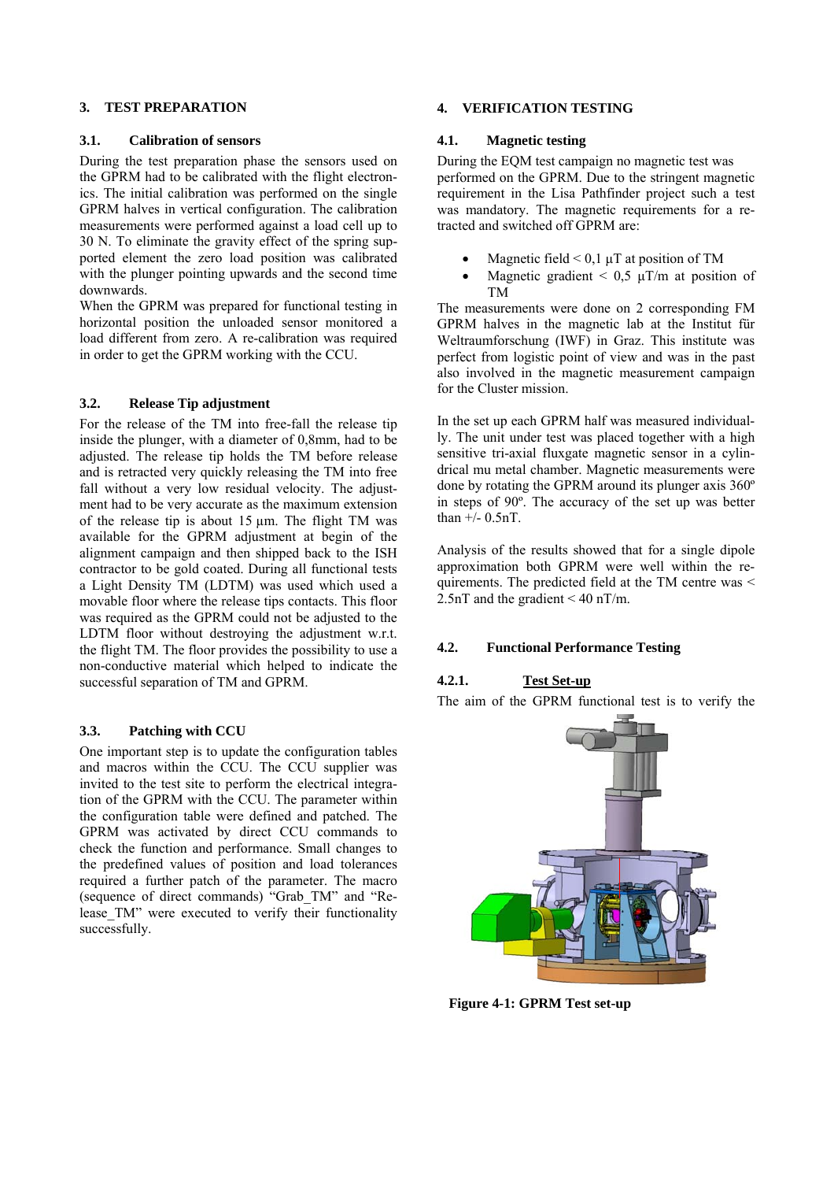## **3. TEST PREPARATION**

#### **3.1. Calibration of sensors**

During the test preparation phase the sensors used on the GPRM had to be calibrated with the flight electronics. The initial calibration was performed on the single GPRM halves in vertical configuration. The calibration measurements were performed against a load cell up to 30 N. To eliminate the gravity effect of the spring supported element the zero load position was calibrated with the plunger pointing upwards and the second time downwards.

When the GPRM was prepared for functional testing in horizontal position the unloaded sensor monitored a load different from zero. A re-calibration was required in order to get the GPRM working with the CCU.

### **3.2. Release Tip adjustment**

For the release of the TM into free-fall the release tip inside the plunger, with a diameter of 0,8mm, had to be adjusted. The release tip holds the TM before release and is retracted very quickly releasing the TM into free fall without a very low residual velocity. The adjustment had to be very accurate as the maximum extension of the release tip is about  $15 \mu m$ . The flight TM was available for the GPRM adjustment at begin of the alignment campaign and then shipped back to the ISH contractor to be gold coated. During all functional tests a Light Density TM (LDTM) was used which used a movable floor where the release tips contacts. This floor was required as the GPRM could not be adjusted to the LDTM floor without destroying the adjustment w.r.t. the flight TM. The floor provides the possibility to use a non-conductive material which helped to indicate the successful separation of TM and GPRM.

### **3.3. Patching with CCU**

One important step is to update the configuration tables and macros within the CCU. The CCU supplier was invited to the test site to perform the electrical integration of the GPRM with the CCU. The parameter within the configuration table were defined and patched. The GPRM was activated by direct CCU commands to check the function and performance. Small changes to the predefined values of position and load tolerances required a further patch of the parameter. The macro (sequence of direct commands) "Grab\_TM" and "Release TM" were executed to verify their functionality successfully.

## **4. VERIFICATION TESTING**

#### **4.1. Magnetic testing**

During the EQM test campaign no magnetic test was performed on the GPRM. Due to the stringent magnetic requirement in the Lisa Pathfinder project such a test was mandatory. The magnetic requirements for a retracted and switched off GPRM are:

- Magnetic field  $\leq 0.1 \mu T$  at position of TM
- Magnetic gradient  $\leq 0.5$   $\mu$ T/m at position of TM

The measurements were done on 2 corresponding FM GPRM halves in the magnetic lab at the Institut für Weltraumforschung (IWF) in Graz. This institute was perfect from logistic point of view and was in the past also involved in the magnetic measurement campaign for the Cluster mission.

In the set up each GPRM half was measured individually. The unit under test was placed together with a high sensitive tri-axial fluxgate magnetic sensor in a cylindrical mu metal chamber. Magnetic measurements were done by rotating the GPRM around its plunger axis 360º in steps of 90º. The accuracy of the set up was better than  $+/-$  0.5nT.

Analysis of the results showed that for a single dipole approximation both GPRM were well within the requirements. The predicted field at the TM centre was < 2.5nT and the gradient < 40 nT/m.

### **4.2. Functional Performance Testing**

# **4.2.1. Test Set-up**

The aim of the GPRM functional test is to verify the



**Figure 4-1: GPRM Test set-up**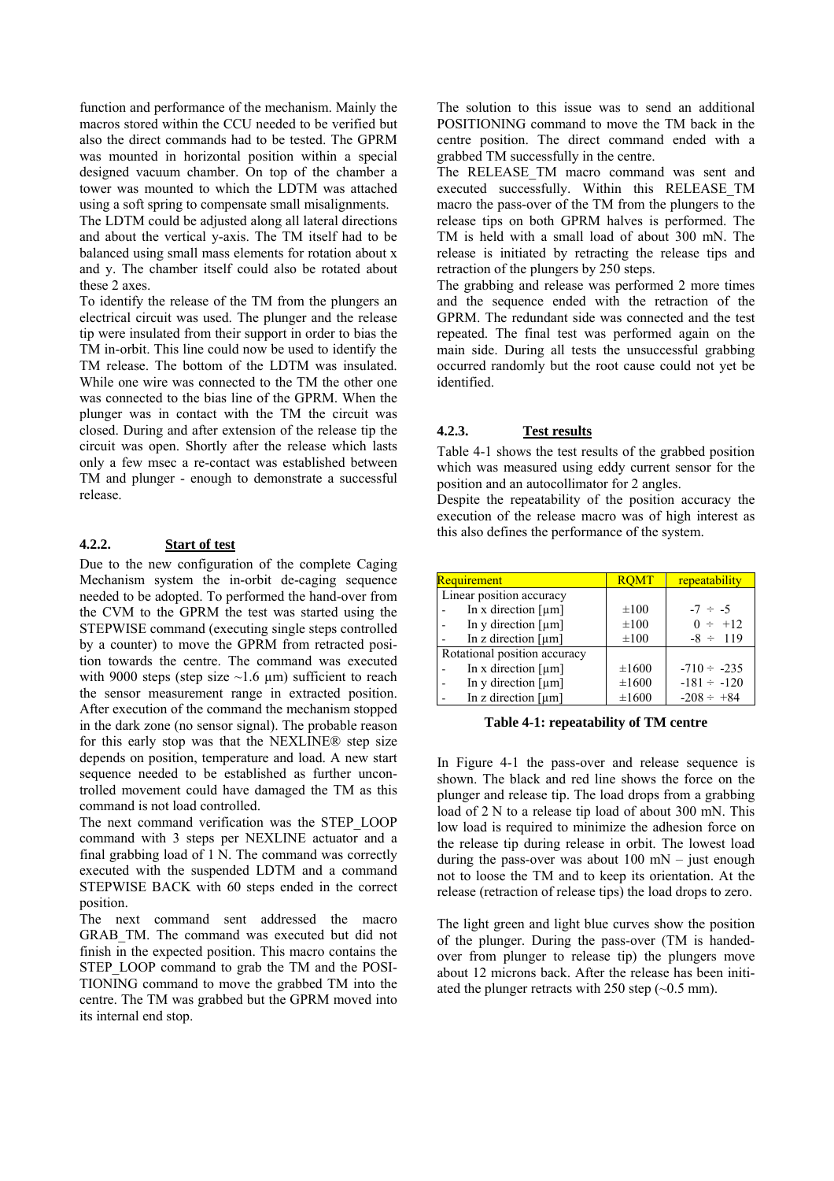function and performance of the mechanism. Mainly the macros stored within the CCU needed to be verified but also the direct commands had to be tested. The GPRM was mounted in horizontal position within a special designed vacuum chamber. On top of the chamber a tower was mounted to which the LDTM was attached using a soft spring to compensate small misalignments.

The LDTM could be adjusted along all lateral directions and about the vertical y-axis. The TM itself had to be balanced using small mass elements for rotation about x and y. The chamber itself could also be rotated about these 2 axes.

To identify the release of the TM from the plungers an electrical circuit was used. The plunger and the release tip were insulated from their support in order to bias the TM in-orbit. This line could now be used to identify the TM release. The bottom of the LDTM was insulated. While one wire was connected to the TM the other one was connected to the bias line of the GPRM. When the plunger was in contact with the TM the circuit was closed. During and after extension of the release tip the circuit was open. Shortly after the release which lasts only a few msec a re-contact was established between TM and plunger - enough to demonstrate a successful release.

# **4.2.2. Start of test**

Due to the new configuration of the complete Caging Mechanism system the in-orbit de-caging sequence needed to be adopted. To performed the hand-over from the CVM to the GPRM the test was started using the STEPWISE command (executing single steps controlled by a counter) to move the GPRM from retracted position towards the centre. The command was executed with 9000 steps (step size  $\sim$ 1.6 µm) sufficient to reach the sensor measurement range in extracted position. After execution of the command the mechanism stopped in the dark zone (no sensor signal). The probable reason for this early stop was that the NEXLINE® step size depends on position, temperature and load. A new start sequence needed to be established as further uncontrolled movement could have damaged the TM as this command is not load controlled.

The next command verification was the STEP\_LOOP command with 3 steps per NEXLINE actuator and a final grabbing load of 1 N. The command was correctly executed with the suspended LDTM and a command STEPWISE BACK with 60 steps ended in the correct position.

The next command sent addressed the macro GRAB\_TM. The command was executed but did not finish in the expected position. This macro contains the STEP LOOP command to grab the TM and the POSI-TIONING command to move the grabbed TM into the centre. The TM was grabbed but the GPRM moved into its internal end stop.

The solution to this issue was to send an additional POSITIONING command to move the TM back in the centre position. The direct command ended with a grabbed TM successfully in the centre.

The RELEASE\_TM macro command was sent and executed successfully. Within this RELEASE\_TM macro the pass-over of the TM from the plungers to the release tips on both GPRM halves is performed. The TM is held with a small load of about 300 mN. The release is initiated by retracting the release tips and retraction of the plungers by 250 steps.

The grabbing and release was performed 2 more times and the sequence ended with the retraction of the GPRM. The redundant side was connected and the test repeated. The final test was performed again on the main side. During all tests the unsuccessful grabbing occurred randomly but the root cause could not yet be identified.

## **4.2.3. Test results**

Table 4-1 shows the test results of the grabbed position which was measured using eddy current sensor for the position and an autocollimator for 2 angles.

Despite the repeatability of the position accuracy the execution of the release macro was of high interest as this also defines the performance of the system.

| <b>Requirement</b>                   | <b>ROMT</b> | repeatability    |
|--------------------------------------|-------------|------------------|
| Linear position accuracy             |             |                  |
| In x direction $[µm]$                | $\pm 100$   | $-7 \div -5$     |
| In y direction $\lceil \mu m \rceil$ | $\pm 100$   | $0 \div 12$      |
| In z direction $[µm]$                | $\pm 100$   | $-8 \div 119$    |
| Rotational position accuracy         |             |                  |
| In x direction $[µm]$                | $\pm 1600$  | $-710 \div -235$ |
| In y direction $\lceil \mu m \rceil$ | $\pm 1600$  | $-181 \div -120$ |
| In z direction $[µm]$                | $\pm 1600$  | $-208 \div +84$  |

### **Table 4-1: repeatability of TM centre**

In Figure 4-1 the pass-over and release sequence is shown. The black and red line shows the force on the plunger and release tip. The load drops from a grabbing load of 2 N to a release tip load of about 300 mN. This low load is required to minimize the adhesion force on the release tip during release in orbit. The lowest load during the pass-over was about  $100$  mN – just enough not to loose the TM and to keep its orientation. At the release (retraction of release tips) the load drops to zero.

The light green and light blue curves show the position of the plunger. During the pass-over (TM is handedover from plunger to release tip) the plungers move about 12 microns back. After the release has been initiated the plunger retracts with 250 step  $(\sim 0.5 \text{ mm})$ .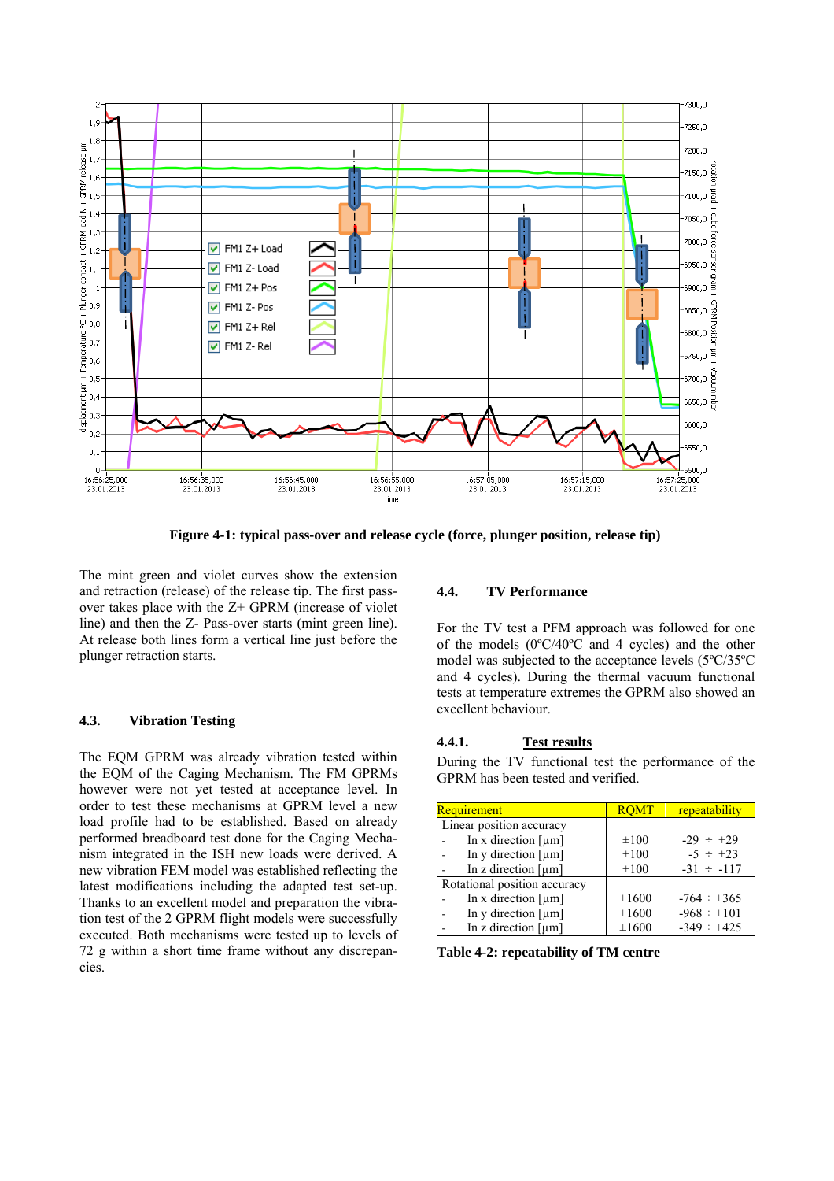

**Figure 4-1: typical pass-over and release cycle (force, plunger position, release tip)**

The mint green and violet curves show the extension and retraction (release) of the release tip. The first passover takes place with the Z+ GPRM (increase of violet line) and then the Z- Pass-over starts (mint green line). At release both lines form a vertical line just before the plunger retraction starts.

# **4.3. Vibration Testing**

The EQM GPRM was already vibration tested within the EQM of the Caging Mechanism. The FM GPRMs however were not yet tested at acceptance level. In order to test these mechanisms at GPRM level a new load profile had to be established. Based on already performed breadboard test done for the Caging Mechanism integrated in the ISH new loads were derived. A new vibration FEM model was established reflecting the latest modifications including the adapted test set-up. Thanks to an excellent model and preparation the vibration test of the 2 GPRM flight models were successfully executed. Both mechanisms were tested up to levels of 72 g within a short time frame without any discrepancies.

## **4.4. TV Performance**

For the TV test a PFM approach was followed for one of the models (0ºC/40ºC and 4 cycles) and the other model was subjected to the acceptance levels (5ºC/35ºC and 4 cycles). During the thermal vacuum functional tests at temperature extremes the GPRM also showed an excellent behaviour.

## **4.4.1. Test results**

During the TV functional test the performance of the GPRM has been tested and verified.

| Requirement                          | <b>ROMT</b> | repeatability    |
|--------------------------------------|-------------|------------------|
| Linear position accuracy             |             |                  |
| In x direction $[µm]$                | $\pm 100$   | $-29 \div +29$   |
| In y direction $\lceil \mu m \rceil$ | $\pm 100$   | $-5 \div +23$    |
| In z direction $\lceil \mu m \rceil$ | $\pm 100$   | $-31 \div -117$  |
| Rotational position accuracy         |             |                  |
| In x direction $\lceil \mu m \rceil$ | $\pm 1600$  | $-764 \div +365$ |
| In y direction $\lceil \mu m \rceil$ | $\pm 1600$  | $-968 \div 101$  |
| In z direction $[µm]$                | $\pm 1600$  | $-349 \div +425$ |

**Table 4-2: repeatability of TM centre**